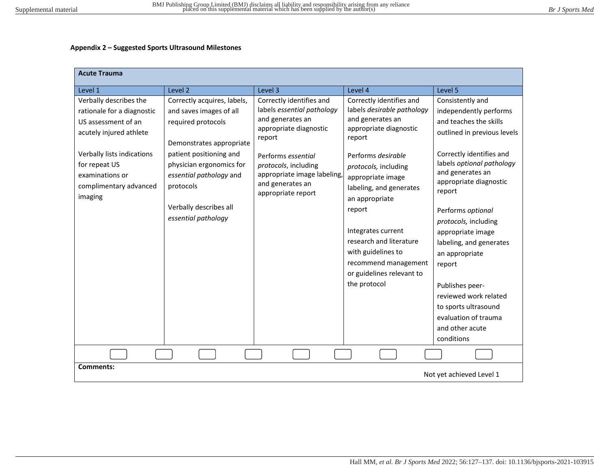## **Appendix 2 – Suggested Sports Ultrasound Milestones**

| <b>Acute Trauma</b>                                                                                                                                                                                           |                                                                                                                                                                                                                                                          |                                                                                                                                                                                                                                       |                                                                                                                                                                                                                                                                                                                                                                                      |                                                                                                                                                                                                                                                                                                                                                                                                                                                                            |  |
|---------------------------------------------------------------------------------------------------------------------------------------------------------------------------------------------------------------|----------------------------------------------------------------------------------------------------------------------------------------------------------------------------------------------------------------------------------------------------------|---------------------------------------------------------------------------------------------------------------------------------------------------------------------------------------------------------------------------------------|--------------------------------------------------------------------------------------------------------------------------------------------------------------------------------------------------------------------------------------------------------------------------------------------------------------------------------------------------------------------------------------|----------------------------------------------------------------------------------------------------------------------------------------------------------------------------------------------------------------------------------------------------------------------------------------------------------------------------------------------------------------------------------------------------------------------------------------------------------------------------|--|
| Level 1                                                                                                                                                                                                       | Level <sub>2</sub>                                                                                                                                                                                                                                       | Level 3                                                                                                                                                                                                                               | Level 4                                                                                                                                                                                                                                                                                                                                                                              | Level 5                                                                                                                                                                                                                                                                                                                                                                                                                                                                    |  |
| Verbally describes the<br>rationale for a diagnostic<br>US assessment of an<br>acutely injured athlete<br>Verbally lists indications<br>for repeat US<br>examinations or<br>complimentary advanced<br>imaging | Correctly acquires, labels,<br>and saves images of all<br>required protocols<br>Demonstrates appropriate<br>patient positioning and<br>physician ergonomics for<br>essential pathology and<br>protocols<br>Verbally describes all<br>essential pathology | Correctly identifies and<br>labels essential pathology<br>and generates an<br>appropriate diagnostic<br>report<br>Performs essential<br>protocols, including<br>appropriate image labeling,<br>and generates an<br>appropriate report | Correctly identifies and<br>labels desirable pathology<br>and generates an<br>appropriate diagnostic<br>report<br>Performs desirable<br>protocols, including<br>appropriate image<br>labeling, and generates<br>an appropriate<br>report<br>Integrates current<br>research and literature<br>with guidelines to<br>recommend management<br>or guidelines relevant to<br>the protocol | Consistently and<br>independently performs<br>and teaches the skills<br>outlined in previous levels<br>Correctly identifies and<br>labels optional pathology<br>and generates an<br>appropriate diagnostic<br>report<br>Performs optional<br>protocols, including<br>appropriate image<br>labeling, and generates<br>an appropriate<br>report<br>Publishes peer-<br>reviewed work related<br>to sports ultrasound<br>evaluation of trauma<br>and other acute<br>conditions |  |
| <b>Comments:</b>                                                                                                                                                                                              |                                                                                                                                                                                                                                                          |                                                                                                                                                                                                                                       |                                                                                                                                                                                                                                                                                                                                                                                      |                                                                                                                                                                                                                                                                                                                                                                                                                                                                            |  |
| Not yet achieved Level 1                                                                                                                                                                                      |                                                                                                                                                                                                                                                          |                                                                                                                                                                                                                                       |                                                                                                                                                                                                                                                                                                                                                                                      |                                                                                                                                                                                                                                                                                                                                                                                                                                                                            |  |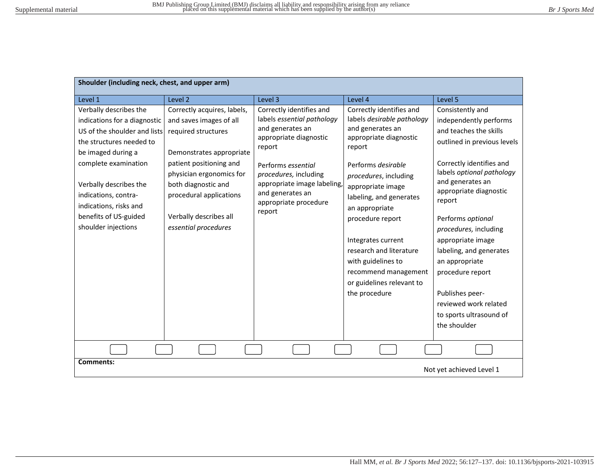| Shoulder (including neck, chest, and upper arm)                                                                                                                                                                                                                                              |                                                                                                                                                                                                                                                                      |                                                                                                                                                                                                                                                     |                                                                                                                                                                                                                                                                                                                                                                                                  |                                                                                                                                                                                                                                                                                                                                                                                                                                                 |  |  |
|----------------------------------------------------------------------------------------------------------------------------------------------------------------------------------------------------------------------------------------------------------------------------------------------|----------------------------------------------------------------------------------------------------------------------------------------------------------------------------------------------------------------------------------------------------------------------|-----------------------------------------------------------------------------------------------------------------------------------------------------------------------------------------------------------------------------------------------------|--------------------------------------------------------------------------------------------------------------------------------------------------------------------------------------------------------------------------------------------------------------------------------------------------------------------------------------------------------------------------------------------------|-------------------------------------------------------------------------------------------------------------------------------------------------------------------------------------------------------------------------------------------------------------------------------------------------------------------------------------------------------------------------------------------------------------------------------------------------|--|--|
| Level 1                                                                                                                                                                                                                                                                                      | Level 2                                                                                                                                                                                                                                                              | Level 3                                                                                                                                                                                                                                             | Level 4                                                                                                                                                                                                                                                                                                                                                                                          | Level 5                                                                                                                                                                                                                                                                                                                                                                                                                                         |  |  |
| Verbally describes the<br>indications for a diagnostic<br>US of the shoulder and lists<br>the structures needed to<br>be imaged during a<br>complete examination<br>Verbally describes the<br>indications, contra-<br>indications, risks and<br>benefits of US-guided<br>shoulder injections | Correctly acquires, labels,<br>and saves images of all<br>required structures<br>Demonstrates appropriate<br>patient positioning and<br>physician ergonomics for<br>both diagnostic and<br>procedural applications<br>Verbally describes all<br>essential procedures | Correctly identifies and<br>labels essential pathology<br>and generates an<br>appropriate diagnostic<br>report<br>Performs essential<br>procedures, including<br>appropriate image labeling,<br>and generates an<br>appropriate procedure<br>report | Correctly identifies and<br>labels desirable pathology<br>and generates an<br>appropriate diagnostic<br>report<br>Performs desirable<br>procedures, including<br>appropriate image<br>labeling, and generates<br>an appropriate<br>procedure report<br>Integrates current<br>research and literature<br>with guidelines to<br>recommend management<br>or guidelines relevant to<br>the procedure | Consistently and<br>independently performs<br>and teaches the skills<br>outlined in previous levels<br>Correctly identifies and<br>labels optional pathology<br>and generates an<br>appropriate diagnostic<br>report<br>Performs optional<br>procedures, including<br>appropriate image<br>labeling, and generates<br>an appropriate<br>procedure report<br>Publishes peer-<br>reviewed work related<br>to sports ultrasound of<br>the shoulder |  |  |
|                                                                                                                                                                                                                                                                                              |                                                                                                                                                                                                                                                                      |                                                                                                                                                                                                                                                     |                                                                                                                                                                                                                                                                                                                                                                                                  |                                                                                                                                                                                                                                                                                                                                                                                                                                                 |  |  |
| <b>Comments:</b><br>Not yet achieved Level 1                                                                                                                                                                                                                                                 |                                                                                                                                                                                                                                                                      |                                                                                                                                                                                                                                                     |                                                                                                                                                                                                                                                                                                                                                                                                  |                                                                                                                                                                                                                                                                                                                                                                                                                                                 |  |  |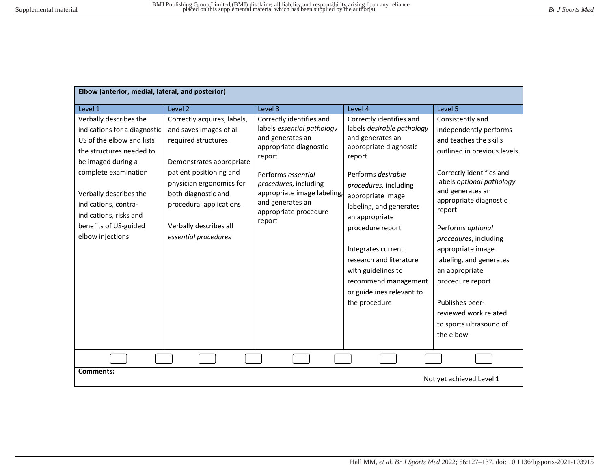| Elbow (anterior, medial, lateral, and posterior)                                                                                                                                                                                                                                       |                                                                                                                                                                                                                                                                      |                                                                                                                                                                                                                                                     |                                                                                                                                                                                                                                                                                                                                                                                                  |                                                                                                                                                                                                                                                                                                                                                                                                                                              |  |  |
|----------------------------------------------------------------------------------------------------------------------------------------------------------------------------------------------------------------------------------------------------------------------------------------|----------------------------------------------------------------------------------------------------------------------------------------------------------------------------------------------------------------------------------------------------------------------|-----------------------------------------------------------------------------------------------------------------------------------------------------------------------------------------------------------------------------------------------------|--------------------------------------------------------------------------------------------------------------------------------------------------------------------------------------------------------------------------------------------------------------------------------------------------------------------------------------------------------------------------------------------------|----------------------------------------------------------------------------------------------------------------------------------------------------------------------------------------------------------------------------------------------------------------------------------------------------------------------------------------------------------------------------------------------------------------------------------------------|--|--|
| Level 1                                                                                                                                                                                                                                                                                | Level <sub>2</sub>                                                                                                                                                                                                                                                   | Level 3                                                                                                                                                                                                                                             | Level 4                                                                                                                                                                                                                                                                                                                                                                                          | Level 5                                                                                                                                                                                                                                                                                                                                                                                                                                      |  |  |
| Verbally describes the<br>indications for a diagnostic<br>US of the elbow and lists<br>the structures needed to<br>be imaged during a<br>complete examination<br>Verbally describes the<br>indications, contra-<br>indications, risks and<br>benefits of US-guided<br>elbow injections | Correctly acquires, labels,<br>and saves images of all<br>required structures<br>Demonstrates appropriate<br>patient positioning and<br>physician ergonomics for<br>both diagnostic and<br>procedural applications<br>Verbally describes all<br>essential procedures | Correctly identifies and<br>labels essential pathology<br>and generates an<br>appropriate diagnostic<br>report<br>Performs essential<br>procedures, including<br>appropriate image labeling,<br>and generates an<br>appropriate procedure<br>report | Correctly identifies and<br>labels desirable pathology<br>and generates an<br>appropriate diagnostic<br>report<br>Performs desirable<br>procedures, including<br>appropriate image<br>labeling, and generates<br>an appropriate<br>procedure report<br>Integrates current<br>research and literature<br>with guidelines to<br>recommend management<br>or guidelines relevant to<br>the procedure | Consistently and<br>independently performs<br>and teaches the skills<br>outlined in previous levels<br>Correctly identifies and<br>labels optional pathology<br>and generates an<br>appropriate diagnostic<br>report<br>Performs optional<br>procedures, including<br>appropriate image<br>labeling, and generates<br>an appropriate<br>procedure report<br>Publishes peer-<br>reviewed work related<br>to sports ultrasound of<br>the elbow |  |  |
|                                                                                                                                                                                                                                                                                        |                                                                                                                                                                                                                                                                      |                                                                                                                                                                                                                                                     |                                                                                                                                                                                                                                                                                                                                                                                                  |                                                                                                                                                                                                                                                                                                                                                                                                                                              |  |  |
| <b>Comments:</b><br>Not yet achieved Level 1                                                                                                                                                                                                                                           |                                                                                                                                                                                                                                                                      |                                                                                                                                                                                                                                                     |                                                                                                                                                                                                                                                                                                                                                                                                  |                                                                                                                                                                                                                                                                                                                                                                                                                                              |  |  |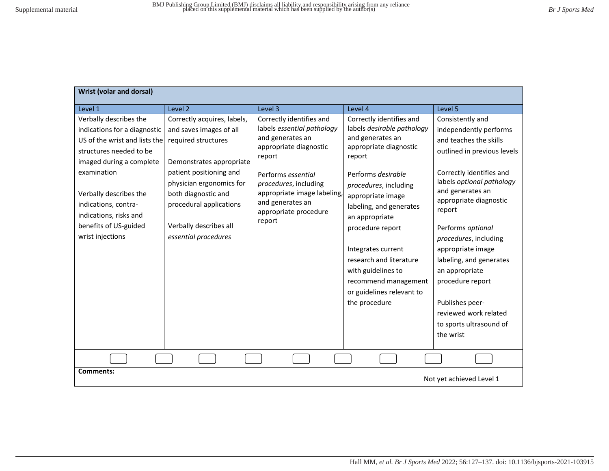| <b>Wrist (volar and dorsal)</b>                                                                                                                                                                                                                                                        |                                                                                                                                                                                                                                                                      |                                                                                                                                                                                                                                                     |                                                                                                                                                                                                                                                                                                                                                                                                  |                                                                                                                                                                                                                                                                                                                                                                                                                                              |
|----------------------------------------------------------------------------------------------------------------------------------------------------------------------------------------------------------------------------------------------------------------------------------------|----------------------------------------------------------------------------------------------------------------------------------------------------------------------------------------------------------------------------------------------------------------------|-----------------------------------------------------------------------------------------------------------------------------------------------------------------------------------------------------------------------------------------------------|--------------------------------------------------------------------------------------------------------------------------------------------------------------------------------------------------------------------------------------------------------------------------------------------------------------------------------------------------------------------------------------------------|----------------------------------------------------------------------------------------------------------------------------------------------------------------------------------------------------------------------------------------------------------------------------------------------------------------------------------------------------------------------------------------------------------------------------------------------|
| Level 1                                                                                                                                                                                                                                                                                | Level <sub>2</sub>                                                                                                                                                                                                                                                   | Level 3                                                                                                                                                                                                                                             | Level 4                                                                                                                                                                                                                                                                                                                                                                                          | Level 5                                                                                                                                                                                                                                                                                                                                                                                                                                      |
| Verbally describes the<br>indications for a diagnostic<br>US of the wrist and lists the<br>structures needed to be<br>imaged during a complete<br>examination<br>Verbally describes the<br>indications, contra-<br>indications, risks and<br>benefits of US-guided<br>wrist injections | Correctly acquires, labels,<br>and saves images of all<br>required structures<br>Demonstrates appropriate<br>patient positioning and<br>physician ergonomics for<br>both diagnostic and<br>procedural applications<br>Verbally describes all<br>essential procedures | Correctly identifies and<br>labels essential pathology<br>and generates an<br>appropriate diagnostic<br>report<br>Performs essential<br>procedures, including<br>appropriate image labeling,<br>and generates an<br>appropriate procedure<br>report | Correctly identifies and<br>labels desirable pathology<br>and generates an<br>appropriate diagnostic<br>report<br>Performs desirable<br>procedures, including<br>appropriate image<br>labeling, and generates<br>an appropriate<br>procedure report<br>Integrates current<br>research and literature<br>with guidelines to<br>recommend management<br>or guidelines relevant to<br>the procedure | Consistently and<br>independently performs<br>and teaches the skills<br>outlined in previous levels<br>Correctly identifies and<br>labels optional pathology<br>and generates an<br>appropriate diagnostic<br>report<br>Performs optional<br>procedures, including<br>appropriate image<br>labeling, and generates<br>an appropriate<br>procedure report<br>Publishes peer-<br>reviewed work related<br>to sports ultrasound of<br>the wrist |
|                                                                                                                                                                                                                                                                                        |                                                                                                                                                                                                                                                                      |                                                                                                                                                                                                                                                     |                                                                                                                                                                                                                                                                                                                                                                                                  |                                                                                                                                                                                                                                                                                                                                                                                                                                              |
| <b>Comments:</b>                                                                                                                                                                                                                                                                       |                                                                                                                                                                                                                                                                      |                                                                                                                                                                                                                                                     |                                                                                                                                                                                                                                                                                                                                                                                                  | Not yet achieved Level 1                                                                                                                                                                                                                                                                                                                                                                                                                     |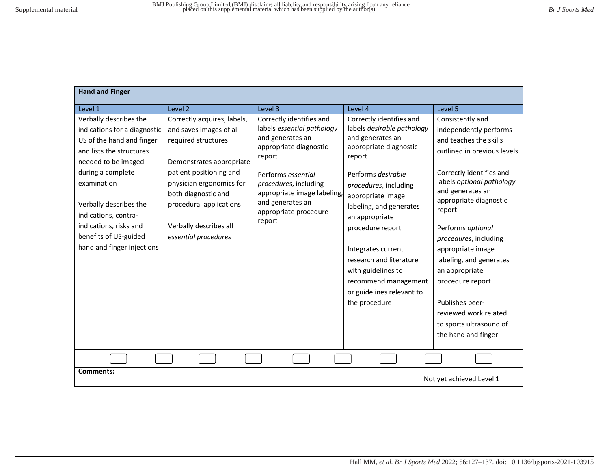| <b>Hand and Finger</b>                                                                                                                                                                                                                                                                                        |                                                                                                                                                                                                                                                                      |                                                                                                                                                                                                                                                     |                                                                                                                                                                                                                                                                                                                                                                                                  |                                                                                                                                                                                                                                                                                                                                                                                                                                                        |
|---------------------------------------------------------------------------------------------------------------------------------------------------------------------------------------------------------------------------------------------------------------------------------------------------------------|----------------------------------------------------------------------------------------------------------------------------------------------------------------------------------------------------------------------------------------------------------------------|-----------------------------------------------------------------------------------------------------------------------------------------------------------------------------------------------------------------------------------------------------|--------------------------------------------------------------------------------------------------------------------------------------------------------------------------------------------------------------------------------------------------------------------------------------------------------------------------------------------------------------------------------------------------|--------------------------------------------------------------------------------------------------------------------------------------------------------------------------------------------------------------------------------------------------------------------------------------------------------------------------------------------------------------------------------------------------------------------------------------------------------|
| Level 1                                                                                                                                                                                                                                                                                                       | Level <sub>2</sub>                                                                                                                                                                                                                                                   | Level 3                                                                                                                                                                                                                                             | Level 4                                                                                                                                                                                                                                                                                                                                                                                          | Level 5                                                                                                                                                                                                                                                                                                                                                                                                                                                |
| Verbally describes the<br>indications for a diagnostic<br>US of the hand and finger<br>and lists the structures<br>needed to be imaged<br>during a complete<br>examination<br>Verbally describes the<br>indications, contra-<br>indications, risks and<br>benefits of US-guided<br>hand and finger injections | Correctly acquires, labels,<br>and saves images of all<br>required structures<br>Demonstrates appropriate<br>patient positioning and<br>physician ergonomics for<br>both diagnostic and<br>procedural applications<br>Verbally describes all<br>essential procedures | Correctly identifies and<br>labels essential pathology<br>and generates an<br>appropriate diagnostic<br>report<br>Performs essential<br>procedures, including<br>appropriate image labeling,<br>and generates an<br>appropriate procedure<br>report | Correctly identifies and<br>labels desirable pathology<br>and generates an<br>appropriate diagnostic<br>report<br>Performs desirable<br>procedures, including<br>appropriate image<br>labeling, and generates<br>an appropriate<br>procedure report<br>Integrates current<br>research and literature<br>with guidelines to<br>recommend management<br>or guidelines relevant to<br>the procedure | Consistently and<br>independently performs<br>and teaches the skills<br>outlined in previous levels<br>Correctly identifies and<br>labels optional pathology<br>and generates an<br>appropriate diagnostic<br>report<br>Performs optional<br>procedures, including<br>appropriate image<br>labeling, and generates<br>an appropriate<br>procedure report<br>Publishes peer-<br>reviewed work related<br>to sports ultrasound of<br>the hand and finger |
|                                                                                                                                                                                                                                                                                                               |                                                                                                                                                                                                                                                                      |                                                                                                                                                                                                                                                     |                                                                                                                                                                                                                                                                                                                                                                                                  |                                                                                                                                                                                                                                                                                                                                                                                                                                                        |
| <b>Comments:</b>                                                                                                                                                                                                                                                                                              |                                                                                                                                                                                                                                                                      |                                                                                                                                                                                                                                                     |                                                                                                                                                                                                                                                                                                                                                                                                  | Not yet achieved Level 1                                                                                                                                                                                                                                                                                                                                                                                                                               |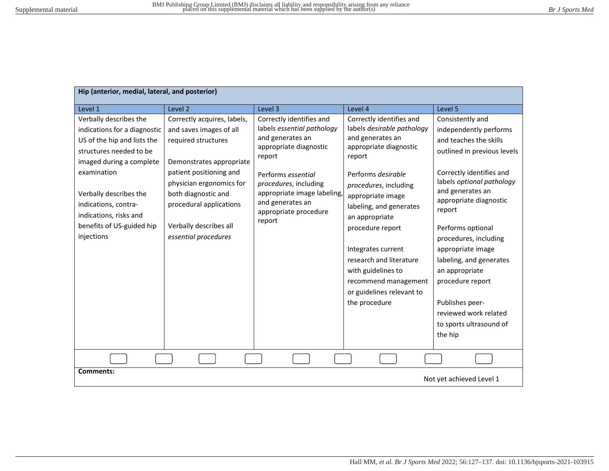| Hip (anterior, medial, lateral, and posterior)                                                                                                                                                                                                                                     |                                                                                                                                                                                                                                                                      |                                                                                                                                                                                                                                                     |                                                                                                                                                                                                                                                                                                                                                                                                  |                                                                                                                                                                                                                                                                                                                                                                                                                                            |  |  |  |
|------------------------------------------------------------------------------------------------------------------------------------------------------------------------------------------------------------------------------------------------------------------------------------|----------------------------------------------------------------------------------------------------------------------------------------------------------------------------------------------------------------------------------------------------------------------|-----------------------------------------------------------------------------------------------------------------------------------------------------------------------------------------------------------------------------------------------------|--------------------------------------------------------------------------------------------------------------------------------------------------------------------------------------------------------------------------------------------------------------------------------------------------------------------------------------------------------------------------------------------------|--------------------------------------------------------------------------------------------------------------------------------------------------------------------------------------------------------------------------------------------------------------------------------------------------------------------------------------------------------------------------------------------------------------------------------------------|--|--|--|
| Level 1                                                                                                                                                                                                                                                                            | Level 2                                                                                                                                                                                                                                                              | Level 3                                                                                                                                                                                                                                             | Level 4                                                                                                                                                                                                                                                                                                                                                                                          | Level 5                                                                                                                                                                                                                                                                                                                                                                                                                                    |  |  |  |
| Verbally describes the<br>indications for a diagnostic<br>US of the hip and lists the<br>structures needed to be<br>imaged during a complete<br>examination<br>Verbally describes the<br>indications, contra-<br>indications, risks and<br>benefits of US-guided hip<br>injections | Correctly acquires, labels,<br>and saves images of all<br>required structures<br>Demonstrates appropriate<br>patient positioning and<br>physician ergonomics for<br>both diagnostic and<br>procedural applications<br>Verbally describes all<br>essential procedures | Correctly identifies and<br>labels essential pathology<br>and generates an<br>appropriate diagnostic<br>report<br>Performs essential<br>procedures, including<br>appropriate image labeling,<br>and generates an<br>appropriate procedure<br>report | Correctly identifies and<br>labels desirable pathology<br>and generates an<br>appropriate diagnostic<br>report<br>Performs desirable<br>procedures, including<br>appropriate image<br>labeling, and generates<br>an appropriate<br>procedure report<br>Integrates current<br>research and literature<br>with guidelines to<br>recommend management<br>or guidelines relevant to<br>the procedure | Consistently and<br>independently performs<br>and teaches the skills<br>outlined in previous levels<br>Correctly identifies and<br>labels optional pathology<br>and generates an<br>appropriate diagnostic<br>report<br>Performs optional<br>procedures, including<br>appropriate image<br>labeling, and generates<br>an appropriate<br>procedure report<br>Publishes peer-<br>reviewed work related<br>to sports ultrasound of<br>the hip |  |  |  |
|                                                                                                                                                                                                                                                                                    |                                                                                                                                                                                                                                                                      |                                                                                                                                                                                                                                                     |                                                                                                                                                                                                                                                                                                                                                                                                  |                                                                                                                                                                                                                                                                                                                                                                                                                                            |  |  |  |
| <b>Comments:</b><br>Not yet achieved Level 1                                                                                                                                                                                                                                       |                                                                                                                                                                                                                                                                      |                                                                                                                                                                                                                                                     |                                                                                                                                                                                                                                                                                                                                                                                                  |                                                                                                                                                                                                                                                                                                                                                                                                                                            |  |  |  |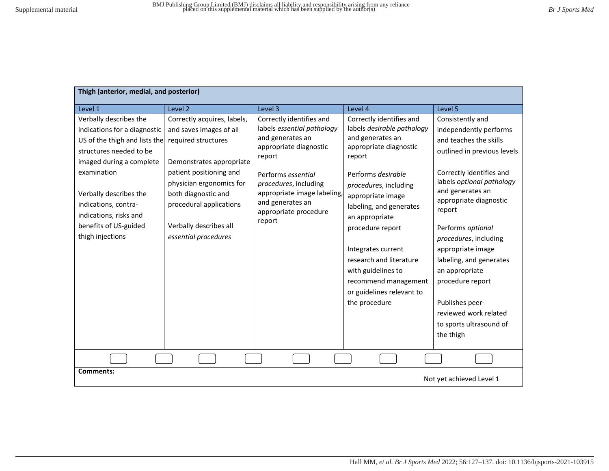| Thigh (anterior, medial, and posterior)                                                                                                                                                                                                                                                |                                                                                                                                                                                                                                                                      |                                                                                                                                                                                                                                                     |                                                                                                                                                                                                                                                                                                                                                                                                  |                                                                                                                                                                                                                                                                                                                                                                                                                                              |  |  |  |
|----------------------------------------------------------------------------------------------------------------------------------------------------------------------------------------------------------------------------------------------------------------------------------------|----------------------------------------------------------------------------------------------------------------------------------------------------------------------------------------------------------------------------------------------------------------------|-----------------------------------------------------------------------------------------------------------------------------------------------------------------------------------------------------------------------------------------------------|--------------------------------------------------------------------------------------------------------------------------------------------------------------------------------------------------------------------------------------------------------------------------------------------------------------------------------------------------------------------------------------------------|----------------------------------------------------------------------------------------------------------------------------------------------------------------------------------------------------------------------------------------------------------------------------------------------------------------------------------------------------------------------------------------------------------------------------------------------|--|--|--|
| Level 1                                                                                                                                                                                                                                                                                | Level <sub>2</sub>                                                                                                                                                                                                                                                   | Level 3                                                                                                                                                                                                                                             | Level 4                                                                                                                                                                                                                                                                                                                                                                                          | Level 5                                                                                                                                                                                                                                                                                                                                                                                                                                      |  |  |  |
| Verbally describes the<br>indications for a diagnostic<br>US of the thigh and lists the<br>structures needed to be<br>imaged during a complete<br>examination<br>Verbally describes the<br>indications, contra-<br>indications, risks and<br>benefits of US-guided<br>thigh injections | Correctly acquires, labels,<br>and saves images of all<br>required structures<br>Demonstrates appropriate<br>patient positioning and<br>physician ergonomics for<br>both diagnostic and<br>procedural applications<br>Verbally describes all<br>essential procedures | Correctly identifies and<br>labels essential pathology<br>and generates an<br>appropriate diagnostic<br>report<br>Performs essential<br>procedures, including<br>appropriate image labeling,<br>and generates an<br>appropriate procedure<br>report | Correctly identifies and<br>labels desirable pathology<br>and generates an<br>appropriate diagnostic<br>report<br>Performs desirable<br>procedures, including<br>appropriate image<br>labeling, and generates<br>an appropriate<br>procedure report<br>Integrates current<br>research and literature<br>with guidelines to<br>recommend management<br>or guidelines relevant to<br>the procedure | Consistently and<br>independently performs<br>and teaches the skills<br>outlined in previous levels<br>Correctly identifies and<br>labels optional pathology<br>and generates an<br>appropriate diagnostic<br>report<br>Performs optional<br>procedures, including<br>appropriate image<br>labeling, and generates<br>an appropriate<br>procedure report<br>Publishes peer-<br>reviewed work related<br>to sports ultrasound of<br>the thigh |  |  |  |
|                                                                                                                                                                                                                                                                                        |                                                                                                                                                                                                                                                                      |                                                                                                                                                                                                                                                     |                                                                                                                                                                                                                                                                                                                                                                                                  |                                                                                                                                                                                                                                                                                                                                                                                                                                              |  |  |  |
| <b>Comments:</b><br>Not yet achieved Level 1                                                                                                                                                                                                                                           |                                                                                                                                                                                                                                                                      |                                                                                                                                                                                                                                                     |                                                                                                                                                                                                                                                                                                                                                                                                  |                                                                                                                                                                                                                                                                                                                                                                                                                                              |  |  |  |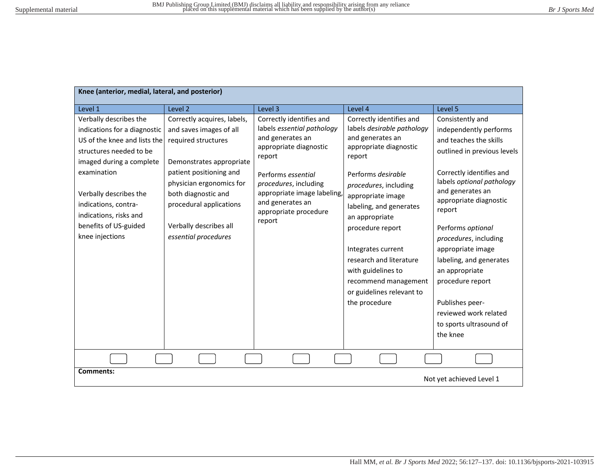| Knee (anterior, medial, lateral, and posterior)                                                                                                                                                                                                                                      |                                                                                                                                                                                                                                                                      |                                                                                                                                                                                                                                                     |                                                                                                                                                                                                                                                                                                                                                                                                  |                                                                                                                                                                                                                                                                                                                                                                                                                                             |  |  |
|--------------------------------------------------------------------------------------------------------------------------------------------------------------------------------------------------------------------------------------------------------------------------------------|----------------------------------------------------------------------------------------------------------------------------------------------------------------------------------------------------------------------------------------------------------------------|-----------------------------------------------------------------------------------------------------------------------------------------------------------------------------------------------------------------------------------------------------|--------------------------------------------------------------------------------------------------------------------------------------------------------------------------------------------------------------------------------------------------------------------------------------------------------------------------------------------------------------------------------------------------|---------------------------------------------------------------------------------------------------------------------------------------------------------------------------------------------------------------------------------------------------------------------------------------------------------------------------------------------------------------------------------------------------------------------------------------------|--|--|
| Level 1                                                                                                                                                                                                                                                                              | Level <sub>2</sub>                                                                                                                                                                                                                                                   | Level 3                                                                                                                                                                                                                                             | Level 4                                                                                                                                                                                                                                                                                                                                                                                          | Level 5                                                                                                                                                                                                                                                                                                                                                                                                                                     |  |  |
| Verbally describes the<br>indications for a diagnostic<br>US of the knee and lists the<br>structures needed to be<br>imaged during a complete<br>examination<br>Verbally describes the<br>indications, contra-<br>indications, risks and<br>benefits of US-guided<br>knee injections | Correctly acquires, labels,<br>and saves images of all<br>required structures<br>Demonstrates appropriate<br>patient positioning and<br>physician ergonomics for<br>both diagnostic and<br>procedural applications<br>Verbally describes all<br>essential procedures | Correctly identifies and<br>labels essential pathology<br>and generates an<br>appropriate diagnostic<br>report<br>Performs essential<br>procedures, including<br>appropriate image labeling,<br>and generates an<br>appropriate procedure<br>report | Correctly identifies and<br>labels desirable pathology<br>and generates an<br>appropriate diagnostic<br>report<br>Performs desirable<br>procedures, including<br>appropriate image<br>labeling, and generates<br>an appropriate<br>procedure report<br>Integrates current<br>research and literature<br>with guidelines to<br>recommend management<br>or guidelines relevant to<br>the procedure | Consistently and<br>independently performs<br>and teaches the skills<br>outlined in previous levels<br>Correctly identifies and<br>labels optional pathology<br>and generates an<br>appropriate diagnostic<br>report<br>Performs optional<br>procedures, including<br>appropriate image<br>labeling, and generates<br>an appropriate<br>procedure report<br>Publishes peer-<br>reviewed work related<br>to sports ultrasound of<br>the knee |  |  |
|                                                                                                                                                                                                                                                                                      |                                                                                                                                                                                                                                                                      |                                                                                                                                                                                                                                                     |                                                                                                                                                                                                                                                                                                                                                                                                  |                                                                                                                                                                                                                                                                                                                                                                                                                                             |  |  |
| <b>Comments:</b><br>Not yet achieved Level 1                                                                                                                                                                                                                                         |                                                                                                                                                                                                                                                                      |                                                                                                                                                                                                                                                     |                                                                                                                                                                                                                                                                                                                                                                                                  |                                                                                                                                                                                                                                                                                                                                                                                                                                             |  |  |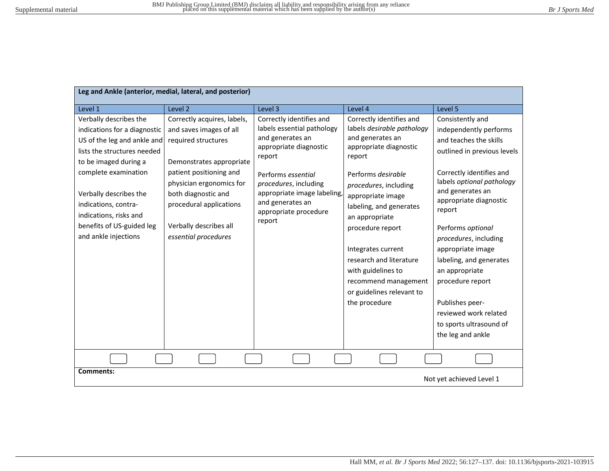| Leg and Ankle (anterior, medial, lateral, and posterior)                                                                                                                                                                                                                                               |                                                                                                                                                                                                                                                                      |                                                                                                                                                                                                                                                     |                                                                                                                                                                                                                                                                                                                                                                                                  |                                                                                                                                                                                                                                                                                                                                                                                                                                                      |  |  |
|--------------------------------------------------------------------------------------------------------------------------------------------------------------------------------------------------------------------------------------------------------------------------------------------------------|----------------------------------------------------------------------------------------------------------------------------------------------------------------------------------------------------------------------------------------------------------------------|-----------------------------------------------------------------------------------------------------------------------------------------------------------------------------------------------------------------------------------------------------|--------------------------------------------------------------------------------------------------------------------------------------------------------------------------------------------------------------------------------------------------------------------------------------------------------------------------------------------------------------------------------------------------|------------------------------------------------------------------------------------------------------------------------------------------------------------------------------------------------------------------------------------------------------------------------------------------------------------------------------------------------------------------------------------------------------------------------------------------------------|--|--|
| Level 1                                                                                                                                                                                                                                                                                                | Level 2                                                                                                                                                                                                                                                              | Level 3                                                                                                                                                                                                                                             | Level 4                                                                                                                                                                                                                                                                                                                                                                                          | Level 5                                                                                                                                                                                                                                                                                                                                                                                                                                              |  |  |
| Verbally describes the<br>indications for a diagnostic<br>US of the leg and ankle and<br>lists the structures needed<br>to be imaged during a<br>complete examination<br>Verbally describes the<br>indications, contra-<br>indications, risks and<br>benefits of US-guided leg<br>and ankle injections | Correctly acquires, labels,<br>and saves images of all<br>required structures<br>Demonstrates appropriate<br>patient positioning and<br>physician ergonomics for<br>both diagnostic and<br>procedural applications<br>Verbally describes all<br>essential procedures | Correctly identifies and<br>labels essential pathology<br>and generates an<br>appropriate diagnostic<br>report<br>Performs essential<br>procedures, including<br>appropriate image labeling,<br>and generates an<br>appropriate procedure<br>report | Correctly identifies and<br>labels desirable pathology<br>and generates an<br>appropriate diagnostic<br>report<br>Performs desirable<br>procedures, including<br>appropriate image<br>labeling, and generates<br>an appropriate<br>procedure report<br>Integrates current<br>research and literature<br>with guidelines to<br>recommend management<br>or guidelines relevant to<br>the procedure | Consistently and<br>independently performs<br>and teaches the skills<br>outlined in previous levels<br>Correctly identifies and<br>labels optional pathology<br>and generates an<br>appropriate diagnostic<br>report<br>Performs optional<br>procedures, including<br>appropriate image<br>labeling, and generates<br>an appropriate<br>procedure report<br>Publishes peer-<br>reviewed work related<br>to sports ultrasound of<br>the leg and ankle |  |  |
|                                                                                                                                                                                                                                                                                                        |                                                                                                                                                                                                                                                                      |                                                                                                                                                                                                                                                     |                                                                                                                                                                                                                                                                                                                                                                                                  |                                                                                                                                                                                                                                                                                                                                                                                                                                                      |  |  |
| <b>Comments:</b><br>Not yet achieved Level 1                                                                                                                                                                                                                                                           |                                                                                                                                                                                                                                                                      |                                                                                                                                                                                                                                                     |                                                                                                                                                                                                                                                                                                                                                                                                  |                                                                                                                                                                                                                                                                                                                                                                                                                                                      |  |  |